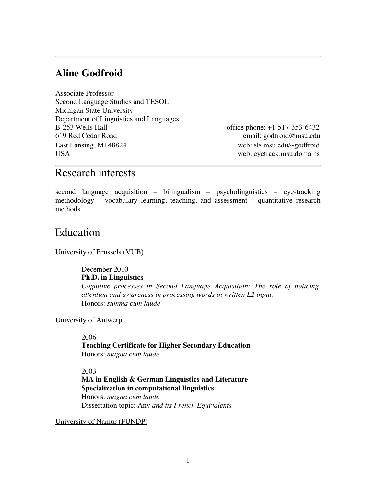## **Aline Godfroid**

Associate Professor Second Language Studies and TESOL Michigan State University Department of Linguistics and Languages B-253 Wells Hall office phone: +1-517-353-6432 619 Red Cedar Road email: godfroid@msu.edu East Lansing, MI 48824 web: sls.msu.edu/~godfroid USA web: eyetrack.msu.domains

# Research interests

second language acquisition – bilingualism – psycholinguistics – eye-tracking methodology – vocabulary learning, teaching, and assessment – quantitative research methods

## Education

#### University of Brussels (VUB)

December 2010 **Ph.D. in Linguistics**

*Cognitive processes in Second Language Acquisition: The role of noticing, attention and awareness in processing words in written L2 input.*  Honors: *summa cum laude*

#### University of Antwerp

2006

**Teaching Certificate for Higher Secondary Education** Honors: *magna cum laude*

#### 2003

**MA in English & German Linguistics and Literature Specialization in computational linguistics** Honors: *magna cum laude* Dissertation topic: Any *and its French Equivalents*

University of Namur (FUNDP)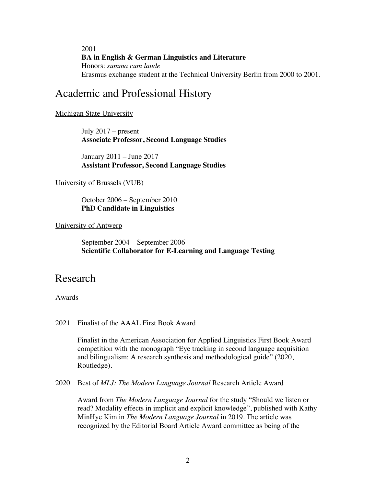2001 **BA in English & German Linguistics and Literature** Honors: *summa cum laude* Erasmus exchange student at the Technical University Berlin from 2000 to 2001.

# Academic and Professional History

#### Michigan State University

July 2017 – present **Associate Professor, Second Language Studies**

January 2011 – June 2017 **Assistant Professor, Second Language Studies**

#### University of Brussels (VUB)

October 2006 – September 2010 **PhD Candidate in Linguistics**

#### University of Antwerp

September 2004 – September 2006 **Scientific Collaborator for E-Learning and Language Testing**

## Research

#### Awards

#### 2021 Finalist of the AAAL First Book Award

Finalist in the American Association for Applied Linguistics First Book Award competition with the monograph "Eye tracking in second language acquisition and bilingualism: A research synthesis and methodological guide" (2020, Routledge).

2020 Best of *MLJ: The Modern Language Journal* Research Article Award

Award from *The Modern Language Journal* for the study "Should we listen or read? Modality effects in implicit and explicit knowledge", published with Kathy MinHye Kim in *The Modern Language Journal* in 2019. The article was recognized by the Editorial Board Article Award committee as being of the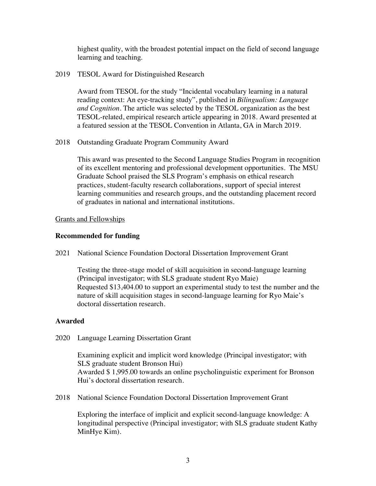highest quality, with the broadest potential impact on the field of second language learning and teaching.

2019 TESOL Award for Distinguished Research

Award from TESOL for the study "Incidental vocabulary learning in a natural reading context: An eye-tracking study", published in *Bilingualism: Language and Cognition*. The article was selected by the TESOL organization as the best TESOL-related, empirical research article appearing in 2018. Award presented at a featured session at the TESOL Convention in Atlanta, GA in March 2019.

2018 Outstanding Graduate Program Community Award

This award was presented to the Second Language Studies Program in recognition of its excellent mentoring and professional development opportunities. The MSU Graduate School praised the SLS Program's emphasis on ethical research practices, student-faculty research collaborations, support of special interest learning communities and research groups, and the outstanding placement record of graduates in national and international institutions.

#### Grants and Fellowships

#### **Recommended for funding**

2021 National Science Foundation Doctoral Dissertation Improvement Grant

Testing the three-stage model of skill acquisition in second-language learning (Principal investigator; with SLS graduate student Ryo Maie) Requested \$13,404.00 to support an experimental study to test the number and the nature of skill acquisition stages in second-language learning for Ryo Maie's doctoral dissertation research.

#### **Awarded**

2020 Language Learning Dissertation Grant

Examining explicit and implicit word knowledge (Principal investigator; with SLS graduate student Bronson Hui) Awarded \$ 1,995.00 towards an online psycholinguistic experiment for Bronson Hui's doctoral dissertation research.

2018 National Science Foundation Doctoral Dissertation Improvement Grant

Exploring the interface of implicit and explicit second-language knowledge: A longitudinal perspective (Principal investigator; with SLS graduate student Kathy MinHye Kim).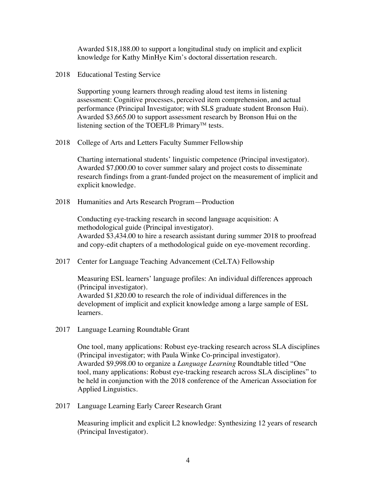Awarded \$18,188.00 to support a longitudinal study on implicit and explicit knowledge for Kathy MinHye Kim's doctoral dissertation research.

2018 Educational Testing Service

Supporting young learners through reading aloud test items in listening assessment: Cognitive processes, perceived item comprehension, and actual performance (Principal Investigator; with SLS graduate student Bronson Hui). Awarded \$3,665.00 to support assessment research by Bronson Hui on the listening section of the TOEFL® Primary<sup>™</sup> tests.

2018 College of Arts and Letters Faculty Summer Fellowship

Charting international students' linguistic competence (Principal investigator). Awarded \$7,000.00 to cover summer salary and project costs to disseminate research findings from a grant-funded project on the measurement of implicit and explicit knowledge.

2018 Humanities and Arts Research Program—Production

Conducting eye-tracking research in second language acquisition: A methodological guide (Principal investigator). Awarded \$3,434.00 to hire a research assistant during summer 2018 to proofread and copy-edit chapters of a methodological guide on eye-movement recording.

2017 Center for Language Teaching Advancement (CeLTA) Fellowship

Measuring ESL learners' language profiles: An individual differences approach (Principal investigator). Awarded \$1,820.00 to research the role of individual differences in the development of implicit and explicit knowledge among a large sample of ESL learners.

2017 Language Learning Roundtable Grant

One tool, many applications: Robust eye-tracking research across SLA disciplines (Principal investigator; with Paula Winke Co-principal investigator). Awarded \$9,998.00 to organize a *Language Learning* Roundtable titled "One tool, many applications: Robust eye-tracking research across SLA disciplines" to be held in conjunction with the 2018 conference of the American Association for Applied Linguistics.

2017 Language Learning Early Career Research Grant

Measuring implicit and explicit L2 knowledge: Synthesizing 12 years of research (Principal Investigator).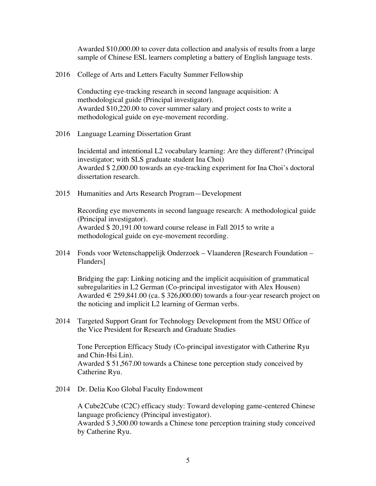Awarded \$10,000.00 to cover data collection and analysis of results from a large sample of Chinese ESL learners completing a battery of English language tests.

2016 College of Arts and Letters Faculty Summer Fellowship

Conducting eye-tracking research in second language acquisition: A methodological guide (Principal investigator). Awarded \$10,220.00 to cover summer salary and project costs to write a methodological guide on eye-movement recording.

2016 Language Learning Dissertation Grant

Incidental and intentional L2 vocabulary learning: Are they different? (Principal investigator; with SLS graduate student Ina Choi) Awarded \$ 2,000.00 towards an eye-tracking experiment for Ina Choi's doctoral dissertation research.

2015 Humanities and Arts Research Program—Development

Recording eye movements in second language research: A methodological guide (Principal investigator). Awarded \$ 20,191.00 toward course release in Fall 2015 to write a methodological guide on eye-movement recording.

2014 Fonds voor Wetenschappelijk Onderzoek – Vlaanderen [Research Foundation – Flanders]

Bridging the gap: Linking noticing and the implicit acquisition of grammatical subregularities in L2 German (Co-principal investigator with Alex Housen) Awarded  $\in$  259,841.00 (ca. \$ 326,000.00) towards a four-year research project on the noticing and implicit L2 learning of German verbs.

2014 Targeted Support Grant for Technology Development from the MSU Office of the Vice President for Research and Graduate Studies

Tone Perception Efficacy Study (Co-principal investigator with Catherine Ryu and Chin-Hsi Lin). Awarded \$ 51,567.00 towards a Chinese tone perception study conceived by Catherine Ryu.

2014 Dr. Delia Koo Global Faculty Endowment

A Cube2Cube (C2C) efficacy study: Toward developing game-centered Chinese language proficiency (Principal investigator). Awarded \$ 3,500.00 towards a Chinese tone perception training study conceived by Catherine Ryu.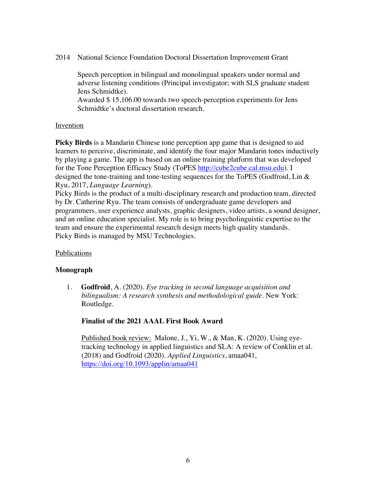2014 National Science Foundation Doctoral Dissertation Improvement Grant

Speech perception in bilingual and monolingual speakers under normal and adverse listening conditions (Principal investigator; with SLS graduate student Jens Schmidtke).

Awarded \$ 15,106.00 towards two speech-perception experiments for Jens Schmidtke's doctoral dissertation research.

### Invention

**Picky Birds** is a Mandarin Chinese tone perception app game that is designed to aid learners to perceive, discriminate, and identify the four major Mandarin tones inductively by playing a game. The app is based on an online training platform that was developed for the Tone Perception Efficacy Study (ToPES http://cube2cube.cal.msu.edu). I designed the tone-training and tone-testing sequences for the ToPES (Godfroid, Lin & Ryu, 2017, *Language Learning*).

Picky Birds is the product of a multi-disciplinary research and production team, directed by Dr. Catherine Ryu. The team consists of undergraduate game developers and programmers, user experience analysts, graphic designers, video artists, a sound designer, and an online education specialist. My role is to bring psycholinguistic expertise to the team and ensure the experimental research design meets high quality standards. Picky Birds is managed by MSU Technologies.

## Publications

## **Monograph**

1. **Godfroid**, A. (2020). *Eye tracking in second language acquisition and bilingualism: A research synthesis and methodological guide.* New York: Routledge.

## **Finalist of the 2021 AAAL First Book Award**

Published book review: Malone, J., Yi, W., & Man, K. (2020). Using eyetracking technology in applied linguistics and SLA: A review of Conklin et al. (2018) and Godfroid (2020). *Applied Linguistics*, amaa041, https://doi.org/10.1093/applin/amaa041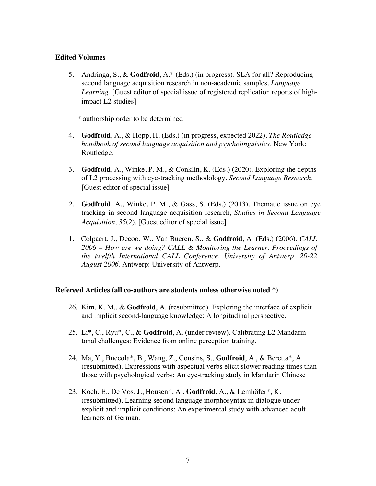### **Edited Volumes**

5. Andringa, S., & **Godfroid**, A.\* (Eds.) (in progress). SLA for all? Reproducing second language acquisition research in non-academic samples. *Language Learning.* [Guest editor of special issue of registered replication reports of highimpact L2 studies]

\* authorship order to be determined

- 4. **Godfroid**, A., & Hopp, H. (Eds.) (in progress, expected 2022). *The Routledge handbook of second language acquisition and psycholinguistics.* New York: Routledge.
- 3. **Godfroid**, A., Winke, P. M., & Conklin, K. (Eds.) (2020). Exploring the depths of L2 processing with eye-tracking methodology. *Second Language Research.*  [Guest editor of special issue]
- 2. **Godfroid**, A., Winke, P. M., & Gass, S. (Eds.) (2013). Thematic issue on eye tracking in second language acquisition research, *Studies in Second Language Acquisition, 35*(2). [Guest editor of special issue]
- 1. Colpaert, J., Decoo, W., Van Bueren, S., & **Godfroid**, A. (Eds.) (2006). *CALL 2006 – How are we doing? CALL & Monitoring the Learner. Proceedings of the twelfth International CALL Conference, University of Antwerp, 20-22 August 2006*. Antwerp: University of Antwerp.

#### **Refereed Articles (all co-authors are students unless otherwise noted \*)**

- 26. Kim, K. M., & **Godfroid**, A. (resubmitted). Exploring the interface of explicit and implicit second-language knowledge: A longitudinal perspective.
- 25. Li\*, C., Ryu\*, C., & **Godfroid**, A. (under review). Calibrating L2 Mandarin tonal challenges: Evidence from online perception training.
- 24. Ma, Y., Buccola\*, B., Wang, Z., Cousins, S., **Godfroid**, A., & Beretta\*, A. (resubmitted). Expressions with aspectual verbs elicit slower reading times than those with psychological verbs: An eye-tracking study in Mandarin Chinese
- 23. Koch, E., De Vos, J., Housen\*, A., **Godfroid**, A., & Lemhöfer\*, K. (resubmitted). Learning second language morphosyntax in dialogue under explicit and implicit conditions: An experimental study with advanced adult learners of German.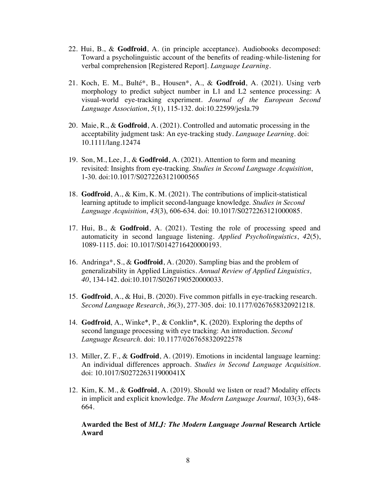- 22. Hui, B., & **Godfroid**, A. (in principle acceptance). Audiobooks decomposed: Toward a psycholinguistic account of the benefits of reading-while-listening for verbal comprehension [Registered Report]. *Language Learning.*
- 21. Koch, E. M., Bulté\*, B., Housen\*, A., & **Godfroid**, A. (2021). Using verb morphology to predict subject number in L1 and L2 sentence processing: A visual-world eye-tracking experiment. *Journal of the European Second Language Association*, *5*(1), 115-132*.* doi:10.22599/jesla.79
- 20. Maie, R., & **Godfroid**, A. (2021). Controlled and automatic processing in the acceptability judgment task: An eye-tracking study. *Language Learning*. doi: 10.1111/lang.12474
- 19. Son, M., Lee, J., & **Godfroid**, A. (2021). Attention to form and meaning revisited: Insights from eye-tracking. *Studies in Second Language Acquisition*, 1-30. doi:10.1017/S0272263121000565
- 18. **Godfroid**, A., & Kim, K. M. (2021). The contributions of implicit-statistical learning aptitude to implicit second-language knowledge. *Studies in Second Language Acquisition*, *43*(3), 606-634. doi: 10.1017/S0272263121000085.
- 17. Hui, B., & **Godfroid**, A. (2021). Testing the role of processing speed and automaticity in second language listening. *Applied Psycholinguistics*, *42*(5), 1089-1115*.* doi: 10.1017/S0142716420000193.
- 16. Andringa\*, S., & **Godfroid**, A. (2020). Sampling bias and the problem of generalizability in Applied Linguistics. *Annual Review of Applied Linguistics, 40*, 134-142. doi:10.1017/S0267190520000033.
- 15. **Godfroid**, A., & Hui, B. (2020). Five common pitfalls in eye-tracking research. *Second Language Research*, *36*(3), 277-305*.* doi: 10.1177/0267658320921218.
- 14. **Godfroid**, A., Winke\*, P., & Conklin\*, K. (2020). Exploring the depths of second language processing with eye tracking: An introduction. *Second Language Research*. doi: 10.1177/0267658320922578
- 13. Miller, Z. F., & **Godfroid**, A. (2019). Emotions in incidental language learning: An individual differences approach. *Studies in Second Language Acquisition.*  doi: 10.1017/S027226311900041X
- 12. Kim, K. M., & **Godfroid**, A. (2019). Should we listen or read? Modality effects in implicit and explicit knowledge. *The Modern Language Journal,* 103(3), 648- 664*.*

#### **Awarded the Best of** *MLJ: The Modern Language Journal* **Research Article Award**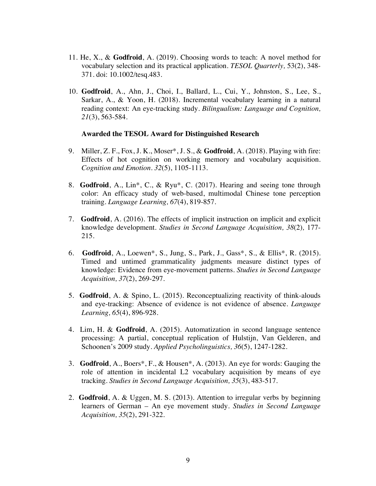- 11. He, X., & **Godfroid**, A. (2019). Choosing words to teach: A novel method for vocabulary selection and its practical application. *TESOL Quarterly,* 53(2), 348- 371*.* doi: 10.1002/tesq.483.
- 10. **Godfroid**, A., Ahn, J., Choi, I., Ballard, L., Cui, Y., Johnston, S., Lee, S., Sarkar, A., & Yoon, H. (2018). Incremental vocabulary learning in a natural reading context: An eye-tracking study. *Bilingualism: Language and Cognition, 21*(3), 563-584.

#### **Awarded the TESOL Award for Distinguished Research**

- 9. Miller, Z. F., Fox, J. K., Moser\*, J. S., & **Godfroid**, A. (2018). Playing with fire: Effects of hot cognition on working memory and vocabulary acquisition. *Cognition and Emotion. 32*(5), 1105-1113.
- 8. **Godfroid**, A., Lin\*, C., & Ryu\*, C. (2017). Hearing and seeing tone through color: An efficacy study of web-based, multimodal Chinese tone perception training. *Language Learning, 67*(4), 819-857.
- 7. **Godfroid**, A. (2016). The effects of implicit instruction on implicit and explicit knowledge development. *Studies in Second Language Acquisition, 38*(2)*,* 177- 215.
- 6. **Godfroid**, A., Loewen\*, S., Jung, S., Park, J., Gass\*, S., & Ellis\*, R. (2015). Timed and untimed grammaticality judgments measure distinct types of knowledge: Evidence from eye-movement patterns. *Studies in Second Language Acquisition, 37*(2), 269-297.
- 5. **Godfroid**, A. & Spino, L. (2015). Reconceptualizing reactivity of think-alouds and eye-tracking: Absence of evidence is not evidence of absence. *Language Learning, 65*(4), 896-928*.*
- 4. Lim, H. & **Godfroid**, A. (2015). Automatization in second language sentence processing: A partial, conceptual replication of Hulstijn, Van Gelderen, and Schoonen's 2009 study. *Applied Psycholinguistics, 36*(5), 1247-1282*.*
- 3. **Godfroid**, A., Boers\*, F., & Housen\*, A. (2013). An eye for words: Gauging the role of attention in incidental L2 vocabulary acquisition by means of eye tracking. *Studies in Second Language Acquisition, 35*(3), 483-517.
- 2. **Godfroid**, A. & Uggen, M. S. (2013). Attention to irregular verbs by beginning learners of German – An eye movement study. *Studies in Second Language Acquisition, 35*(2), 291-322.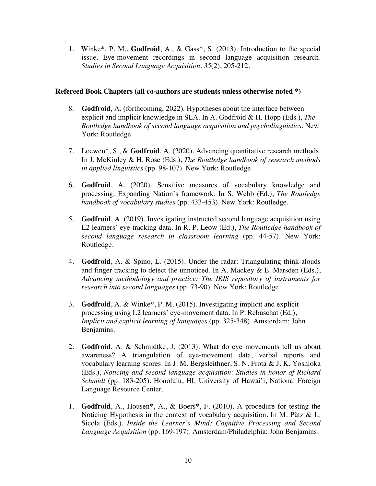1. Winke\*, P. M., **Godfroid**, A., & Gass\*, S. (2013). Introduction to the special issue. Eye-movement recordings in second language acquisition research. *Studies in Second Language Acquisition, 35*(2), 205-212.

#### **Refereed Book Chapters (all co-authors are students unless otherwise noted \*)**

- 8. **Godfroid**, A. (forthcoming, 2022). Hypotheses about the interface between explicit and implicit knowledge in SLA. In A. Godfroid & H. Hopp (Eds.), *The Routledge handbook of second language acquisition and psycholinguistics.* New York: Routledge.
- 7. Loewen\*, S., & **Godfroid**, A. (2020). Advancing quantitative research methods. In J. McKinley & H. Rose (Eds.), *The Routledge handbook of research methods in applied linguistics* (pp. 98-107). New York: Routledge.
- 6. **Godfroid**, A. (2020). Sensitive measures of vocabulary knowledge and processing: Expanding Nation's framework. In S. Webb (Ed.), *The Routledge handbook of vocabulary studies* (pp. 433-453)*.* New York: Routledge.
- 5. **Godfroid**, A. (2019). Investigating instructed second language acquisition using L2 learners' eye-tracking data. In R. P. Leow (Ed.), *The Routledge handbook of second language research in classroom learning* (pp. 44-57)*.* New York: Routledge.
- 4. **Godfroid**, A. & Spino, L. (2015). Under the radar: Triangulating think-alouds and finger tracking to detect the unnoticed. In A. Mackey  $\&$  E. Marsden (Eds.), *Advancing methodology and practice: The IRIS repository of instruments for research into second languages* (pp. 73-90)*.* New York: Routledge.
- 3. **Godfroid**, A. & Winke\*, P. M. (2015). Investigating implicit and explicit processing using L2 learners' eye-movement data. In P. Rebuschat (Ed.), *Implicit and explicit learning of languages* (pp. 325-348). Amsterdam: John Benjamins.
- 2. **Godfroid**, A. & Schmidtke, J. (2013). What do eye movements tell us about awareness? A triangulation of eye-movement data, verbal reports and vocabulary learning scores. In J. M. Bergsleithner, S. N. Frota & J. K. Yoshioka (Eds.), *Noticing and second language acquisition: Studies in honor of Richard Schmidt* (pp. 183-205). Honolulu, HI: University of Hawai'i, National Foreign Language Resource Center.
- 1. **Godfroid**, A., Housen\*, A., & Boers\*, F. (2010). A procedure for testing the Noticing Hypothesis in the context of vocabulary acquisition. In M. Pütz & L. Sicola (Eds.), *Inside the Learner's Mind: Cognitive Processing and Second Language Acquisition* (pp. 169-197)*.* Amsterdam/Philadelphia: John Benjamins.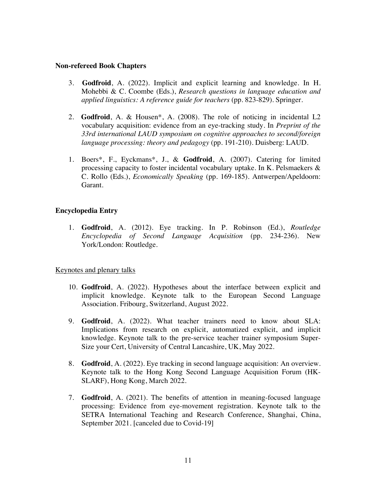#### **Non-refereed Book Chapters**

- 3. **Godfroid**, A. (2022). Implicit and explicit learning and knowledge. In H. Mohebbi & C. Coombe (Eds.), *Research questions in language education and applied linguistics: A reference guide for teachers* (pp. 823-829). Springer.
- 2. **Godfroid**, A. & Housen\*, A. (2008). The role of noticing in incidental L2 vocabulary acquisition: evidence from an eye-tracking study. In *Preprint of the 33rd international LAUD symposium on cognitive approaches to second/foreign language processing: theory and pedagogy* (pp. 191-210)*.* Duisberg: LAUD.
- 1. Boers\*, F., Eyckmans\*, J., & **Godfroid**, A. (2007). Catering for limited processing capacity to foster incidental vocabulary uptake. In K. Pelsmaekers & C. Rollo (Eds.), *Economically Speaking* (pp. 169-185). Antwerpen/Apeldoorn: Garant.

### **Encyclopedia Entry**

1. **Godfroid**, A. (2012). Eye tracking. In P. Robinson (Ed.), *Routledge Encyclopedia of Second Language Acquisition* (pp. 234-236)*.* New York/London: Routledge.

#### Keynotes and plenary talks

- 10. **Godfroid**, A. (2022). Hypotheses about the interface between explicit and implicit knowledge. Keynote talk to the European Second Language Association. Fribourg, Switzerland, August 2022.
- 9. **Godfroid**, A. (2022). What teacher trainers need to know about SLA: Implications from research on explicit, automatized explicit, and implicit knowledge. Keynote talk to the pre-service teacher trainer symposium Super-Size your Cert, University of Central Lancashire, UK, May 2022.
- 8. **Godfroid**, A. (2022). Eye tracking in second language acquisition: An overview. Keynote talk to the Hong Kong Second Language Acquisition Forum (HK-SLARF), Hong Kong, March 2022.
- 7. **Godfroid**, A. (2021). The benefits of attention in meaning-focused language processing: Evidence from eye-movement registration. Keynote talk to the SETRA International Teaching and Research Conference, Shanghai, China, September 2021. [canceled due to Covid-19]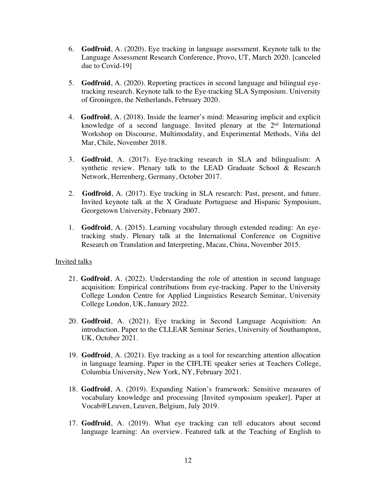- 6. **Godfroid**, A. (2020). Eye tracking in language assessment. Keynote talk to the Language Assessment Research Conference, Provo, UT, March 2020. [canceled due to Covid-19]
- 5. **Godfroid**, A. (2020). Reporting practices in second language and bilingual eyetracking research. Keynote talk to the Eye-tracking SLA Symposium. University of Groningen, the Netherlands, February 2020.
- 4. **Godfroid**, A. (2018). Inside the learner's mind: Measuring implicit and explicit knowledge of a second language. Invited plenary at the  $2<sup>nd</sup>$  International Workshop on Discourse, Multimodality, and Experimental Methods, Viña del Mar, Chile, November 2018.
- 3. **Godfroid**, A. (2017). Eye-tracking research in SLA and bilingualism: A synthetic review. Plenary talk to the LEAD Graduate School & Research Network, Herrenberg, Germany, October 2017.
- 2. **Godfroid**, A. (2017). Eye tracking in SLA research: Past, present, and future. Invited keynote talk at the X Graduate Portuguese and Hispanic Symposium, Georgetown University, February 2007.
- 1. **Godfroid**, A. (2015). Learning vocabulary through extended reading: An eyetracking study. Plenary talk at the International Conference on Cognitive Research on Translation and Interpreting, Macau, China, November 2015.

#### Invited talks

- 21. **Godfroid**, A. (2022). Understanding the role of attention in second language acquisition: Empirical contributions from eye-tracking. Paper to the University College London Centre for Applied Linguistics Research Seminar, University College London, UK, January 2022.
- 20. **Godfroid**, A. (2021). Eye tracking in Second Language Acquisition: An introduction. Paper to the CLLEAR Seminar Series, University of Southampton, UK, October 2021.
- 19. **Godfroid**, A. (2021). Eye tracking as a tool for researching attention allocation in language learning. Paper in the CIFLTE speaker series at Teachers College, Columbia University, New York, NY, February 2021.
- 18. **Godfroid**, A. (2019). Expanding Nation's framework: Sensitive measures of vocabulary knowledge and processing [Invited symposium speaker]. Paper at Vocab@Leuven, Leuven, Belgium, July 2019.
- 17. **Godfroid**, A. (2019). What eye tracking can tell educators about second language learning: An overview. Featured talk at the Teaching of English to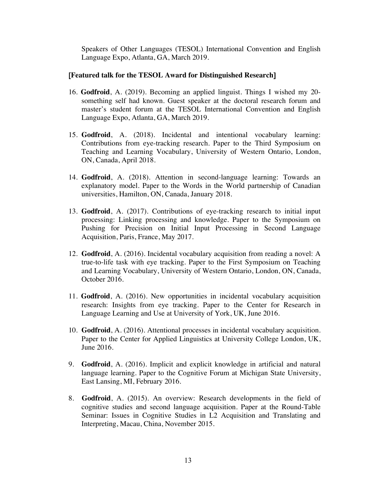Speakers of Other Languages (TESOL) International Convention and English Language Expo, Atlanta, GA, March 2019.

#### [**Featured talk for the TESOL Award for Distinguished Research**]

- 16. **Godfroid**, A. (2019). Becoming an applied linguist. Things I wished my 20 something self had known. Guest speaker at the doctoral research forum and master's student forum at the TESOL International Convention and English Language Expo, Atlanta, GA, March 2019.
- 15. **Godfroid**, A. (2018). Incidental and intentional vocabulary learning: Contributions from eye-tracking research. Paper to the Third Symposium on Teaching and Learning Vocabulary, University of Western Ontario, London, ON, Canada, April 2018.
- 14. **Godfroid**, A. (2018). Attention in second-language learning: Towards an explanatory model. Paper to the Words in the World partnership of Canadian universities, Hamilton, ON, Canada, January 2018.
- 13. **Godfroid**, A. (2017). Contributions of eye-tracking research to initial input processing: Linking processing and knowledge. Paper to the Symposium on Pushing for Precision on Initial Input Processing in Second Language Acquisition, Paris, France, May 2017.
- 12. **Godfroid**, A. (2016). Incidental vocabulary acquisition from reading a novel: A true-to-life task with eye tracking. Paper to the First Symposium on Teaching and Learning Vocabulary, University of Western Ontario, London, ON, Canada, October 2016.
- 11. **Godfroid**, A. (2016). New opportunities in incidental vocabulary acquisition research: Insights from eye tracking. Paper to the Center for Research in Language Learning and Use at University of York, UK, June 2016.
- 10. **Godfroid**, A. (2016). Attentional processes in incidental vocabulary acquisition. Paper to the Center for Applied Linguistics at University College London, UK, June 2016.
- 9. **Godfroid**, A. (2016). Implicit and explicit knowledge in artificial and natural language learning. Paper to the Cognitive Forum at Michigan State University, East Lansing, MI, February 2016.
- 8. **Godfroid**, A. (2015). An overview: Research developments in the field of cognitive studies and second language acquisition. Paper at the Round-Table Seminar: Issues in Cognitive Studies in L2 Acquisition and Translating and Interpreting, Macau, China, November 2015.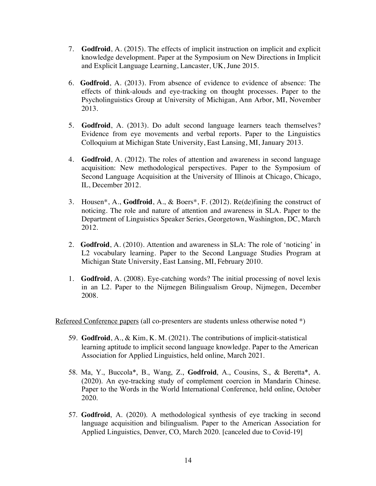- 7. **Godfroid**, A. (2015). The effects of implicit instruction on implicit and explicit knowledge development. Paper at the Symposium on New Directions in Implicit and Explicit Language Learning, Lancaster, UK, June 2015.
- 6. **Godfroid**, A. (2013). From absence of evidence to evidence of absence: The effects of think-alouds and eye-tracking on thought processes. Paper to the Psycholinguistics Group at University of Michigan, Ann Arbor, MI, November 2013.
- 5. **Godfroid**, A. (2013). Do adult second language learners teach themselves? Evidence from eye movements and verbal reports. Paper to the Linguistics Colloquium at Michigan State University, East Lansing, MI, January 2013.
- 4. **Godfroid**, A. (2012). The roles of attention and awareness in second language acquisition: New methodological perspectives. Paper to the Symposium of Second Language Acquisition at the University of Illinois at Chicago, Chicago, IL, December 2012.
- 3. Housen\*, A., **Godfroid**, A., & Boers\*, F. (2012). Re(de)fining the construct of noticing. The role and nature of attention and awareness in SLA. Paper to the Department of Linguistics Speaker Series, Georgetown, Washington, DC, March 2012.
- 2. **Godfroid**, A. (2010). Attention and awareness in SLA: The role of 'noticing' in L2 vocabulary learning. Paper to the Second Language Studies Program at Michigan State University, East Lansing, MI, February 2010.
- 1. **Godfroid**, A. (2008). Eye-catching words? The initial processing of novel lexis in an L2. Paper to the Nijmegen Bilingualism Group, Nijmegen, December 2008.

Refereed Conference papers (all co-presenters are students unless otherwise noted  $*)$ )

- 59. **Godfroid**, A., & Kim, K. M. (2021). The contributions of implicit-statistical learning aptitude to implicit second language knowledge. Paper to the American Association for Applied Linguistics, held online, March 2021.
- 58. Ma, Y., Buccola\*, B., Wang, Z., **Godfroid**, A., Cousins, S., & Beretta\*, A. (2020). An eye-tracking study of complement coercion in Mandarin Chinese. Paper to the Words in the World International Conference, held online, October 2020.
- 57. **Godfroid**, A. (2020). A methodological synthesis of eye tracking in second language acquisition and bilingualism. Paper to the American Association for Applied Linguistics, Denver, CO, March 2020. [canceled due to Covid-19]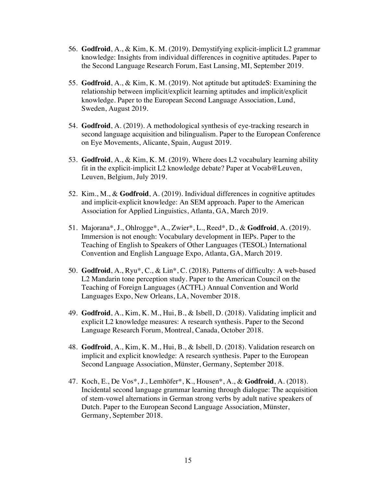- 56. **Godfroid**, A., & Kim, K. M. (2019). Demystifying explicit-implicit L2 grammar knowledge: Insights from individual differences in cognitive aptitudes. Paper to the Second Language Research Forum, East Lansing, MI, September 2019.
- 55. **Godfroid**, A., & Kim, K. M. (2019). Not aptitude but aptitudeS: Examining the relationship between implicit/explicit learning aptitudes and implicit/explicit knowledge. Paper to the European Second Language Association, Lund, Sweden, August 2019.
- 54. **Godfroid**, A. (2019). A methodological synthesis of eye-tracking research in second language acquisition and bilingualism. Paper to the European Conference on Eye Movements, Alicante, Spain, August 2019.
- 53. **Godfroid**, A., & Kim, K. M. (2019). Where does L2 vocabulary learning ability fit in the explicit-implicit L2 knowledge debate? Paper at Vocab@Leuven, Leuven, Belgium, July 2019.
- 52. Kim., M., & **Godfroid**, A. (2019). Individual differences in cognitive aptitudes and implicit-explicit knowledge: An SEM approach. Paper to the American Association for Applied Linguistics, Atlanta, GA, March 2019.
- 51. Majorana\*, J., Ohlrogge\*, A., Zwier\*, L., Reed\*, D., & **Godfroid**, A. (2019). Immersion is not enough: Vocabulary development in IEPs. Paper to the Teaching of English to Speakers of Other Languages (TESOL) International Convention and English Language Expo, Atlanta, GA, March 2019.
- 50. **Godfroid**, A., Ryu\*, C., & Lin\*, C. (2018). Patterns of difficulty: A web-based L2 Mandarin tone perception study. Paper to the American Council on the Teaching of Foreign Languages (ACTFL) Annual Convention and World Languages Expo, New Orleans, LA, November 2018.
- 49. **Godfroid**, A., Kim, K. M., Hui, B., & Isbell, D. (2018). Validating implicit and explicit L2 knowledge measures: A research synthesis. Paper to the Second Language Research Forum, Montreal, Canada, October 2018.
- 48. **Godfroid**, A., Kim, K. M., Hui, B., & Isbell, D. (2018). Validation research on implicit and explicit knowledge: A research synthesis. Paper to the European Second Language Association, Münster, Germany, September 2018.
- 47. Koch, E., De Vos\*, J., Lemhöfer\*, K., Housen\*, A., & **Godfroid**, A. (2018). Incidental second language grammar learning through dialogue: The acquisition of stem-vowel alternations in German strong verbs by adult native speakers of Dutch. Paper to the European Second Language Association, Münster, Germany, September 2018.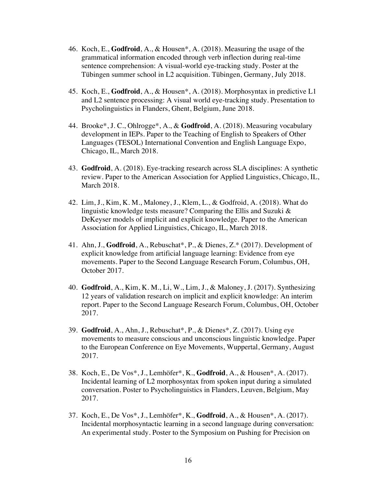- 46. Koch, E., **Godfroid**, A., & Housen\*, A. (2018). Measuring the usage of the grammatical information encoded through verb inflection during real-time sentence comprehension: A visual-world eye-tracking study. Poster at the Tübingen summer school in L2 acquisition. Tübingen, Germany, July 2018.
- 45. Koch, E., **Godfroid**, A., & Housen\*, A. (2018). Morphosyntax in predictive L1 and L2 sentence processing: A visual world eye-tracking study. Presentation to Psycholinguistics in Flanders, Ghent, Belgium, June 2018.
- 44. Brooke\*, J. C., Ohlrogge\*, A., & **Godfroid**, A. (2018). Measuring vocabulary development in IEPs. Paper to the Teaching of English to Speakers of Other Languages (TESOL) International Convention and English Language Expo, Chicago, IL, March 2018.
- 43. **Godfroid**, A. (2018). Eye-tracking research across SLA disciplines: A synthetic review. Paper to the American Association for Applied Linguistics, Chicago, IL, March 2018.
- 42. Lim, J., Kim, K. M., Maloney, J., Klem, L., & Godfroid, A. (2018). What do linguistic knowledge tests measure? Comparing the Ellis and Suzuki & DeKeyser models of implicit and explicit knowledge. Paper to the American Association for Applied Linguistics, Chicago, IL, March 2018.
- 41. Ahn, J., **Godfroid**, A., Rebuschat\*, P., & Dienes, Z.\* (2017). Development of explicit knowledge from artificial language learning: Evidence from eye movements. Paper to the Second Language Research Forum, Columbus, OH, October 2017.
- 40. **Godfroid**, A., Kim, K. M., Li, W., Lim, J., & Maloney, J. (2017). Synthesizing 12 years of validation research on implicit and explicit knowledge: An interim report. Paper to the Second Language Research Forum, Columbus, OH, October 2017.
- 39. **Godfroid**, A., Ahn, J., Rebuschat\*, P., & Dienes\*, Z. (2017). Using eye movements to measure conscious and unconscious linguistic knowledge. Paper to the European Conference on Eye Movements, Wuppertal, Germany, August 2017.
- 38. Koch, E., De Vos\*, J., Lemhöfer\*, K., **Godfroid**, A., & Housen\*, A. (2017). Incidental learning of L2 morphosyntax from spoken input during a simulated conversation. Poster to Psycholinguistics in Flanders, Leuven, Belgium, May 2017.
- 37. Koch, E., De Vos\*, J., Lemhöfer\*, K., **Godfroid**, A., & Housen\*, A. (2017). Incidental morphosyntactic learning in a second language during conversation: An experimental study. Poster to the Symposium on Pushing for Precision on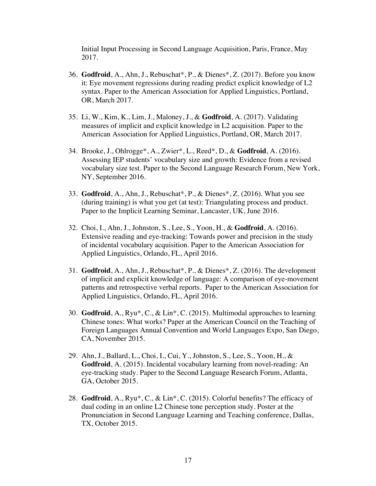Initial Input Processing in Second Language Acquisition, Paris, France, May 2017.

- 36. **Godfroid**, A., Ahn, J., Rebuschat\*, P., & Dienes\*, Z. (2017). Before you know it: Eye movement regressions during reading predict explicit knowledge of L2 syntax. Paper to the American Association for Applied Linguistics, Portland, OR, March 2017.
- 35. Li, W., Kim, K., Lim, J., Maloney, J., & **Godfroid**, A. (2017). Validating measures of implicit and explicit knowledge in L2 acquisition. Paper to the American Association for Applied Linguistics, Portland, OR, March 2017.
- 34. Brooke, J., Ohlrogge\*, A., Zwier\*, L., Reed\*, D., & **Godfroid**, A. (2016). Assessing IEP students' vocabulary size and growth: Evidence from a revised vocabulary size test. Paper to the Second Language Research Forum, New York, NY, September 2016.
- 33. **Godfroid**, A., Ahn, J., Rebuschat\*, P., & Dienes\*, Z. (2016). What you see (during training) is what you get (at test): Triangulating process and product. Paper to the Implicit Learning Seminar, Lancaster, UK, June 2016.
- 32. Choi, I., Ahn, J., Johnston, S., Lee, S., Yoon, H., & **Godfroid**, A. (2016). Extensive reading and eye-tracking: Towards power and precision in the study of incidental vocabulary acquisition. Paper to the American Association for Applied Linguistics, Orlando, FL, April 2016.
- 31. **Godfroid**, A., Ahn, J., Rebuschat\*, P., & Dienes\*, Z. (2016). The development of implicit and explicit knowledge of language: A comparison of eye-movement patterns and retrospective verbal reports. Paper to the American Association for Applied Linguistics, Orlando, FL, April 2016.
- 30. **Godfroid**, A., Ryu\*, C., & Lin\*, C. (2015). Multimodal approaches to learning Chinese tones: What works? Paper at the American Council on the Teaching of Foreign Languages Annual Convention and World Languages Expo, San Diego, CA, November 2015.
- 29. Ahn, J., Ballard, L., Choi, I., Cui, Y., Johnston, S., Lee, S., Yoon, H., & **Godfroid**, A. (2015). Incidental vocabulary learning from novel-reading: An eye-tracking study. Paper to the Second Language Research Forum, Atlanta, GA, October 2015.
- 28. **Godfroid**, A., Ryu\*, C., & Lin\*, C. (2015). Colorful benefits? The efficacy of dual coding in an online L2 Chinese tone perception study. Poster at the Pronunciation in Second Language Learning and Teaching conference, Dallas, TX, October 2015.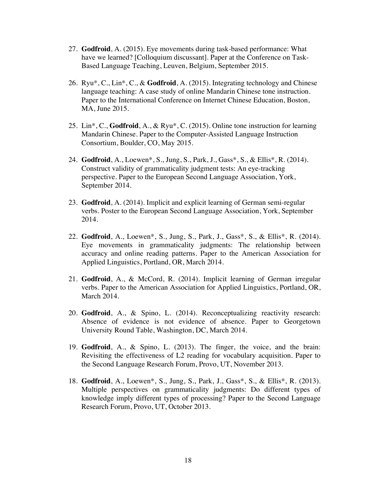- 27. **Godfroid**, A. (2015). Eye movements during task-based performance: What have we learned? [Colloquium discussant]. Paper at the Conference on Task-Based Language Teaching, Leuven, Belgium, September 2015.
- 26. Ryu\*, C., Lin\*, C., & **Godfroid**, A. (2015). Integrating technology and Chinese language teaching: A case study of online Mandarin Chinese tone instruction. Paper to the International Conference on Internet Chinese Education, Boston, MA, June 2015.
- 25. Lin\*, C., **Godfroid**, A., & Ryu\*, C. (2015). Online tone instruction for learning Mandarin Chinese. Paper to the Computer-Assisted Language Instruction Consortium, Boulder, CO, May 2015.
- 24. **Godfroid**, A., Loewen\*, S., Jung, S., Park, J., Gass\*, S., & Ellis\*, R. (2014). Construct validity of grammaticality judgment tests: An eye-tracking perspective. Paper to the European Second Language Association, York, September 2014.
- 23. **Godfroid**, A. (2014). Implicit and explicit learning of German semi-regular verbs. Poster to the European Second Language Association, York, September 2014.
- 22. **Godfroid**, A., Loewen\*, S., Jung, S., Park, J., Gass\*, S., & Ellis\*, R. (2014). Eye movements in grammaticality judgments: The relationship between accuracy and online reading patterns. Paper to the American Association for Applied Linguistics, Portland, OR, March 2014.
- 21. **Godfroid**, A., & McCord, R. (2014). Implicit learning of German irregular verbs. Paper to the American Association for Applied Linguistics, Portland, OR, March 2014.
- 20. **Godfroid**, A., & Spino, L. (2014). Reconceptualizing reactivity research: Absence of evidence is not evidence of absence. Paper to Georgetown University Round Table, Washington, DC, March 2014.
- 19. **Godfroid**, A., & Spino, L. (2013). The finger, the voice, and the brain: Revisiting the effectiveness of L2 reading for vocabulary acquisition. Paper to the Second Language Research Forum, Provo, UT, November 2013.
- 18. **Godfroid**, A., Loewen\*, S., Jung, S., Park, J., Gass\*, S., & Ellis\*, R. (2013). Multiple perspectives on grammaticality judgments: Do different types of knowledge imply different types of processing? Paper to the Second Language Research Forum, Provo, UT, October 2013.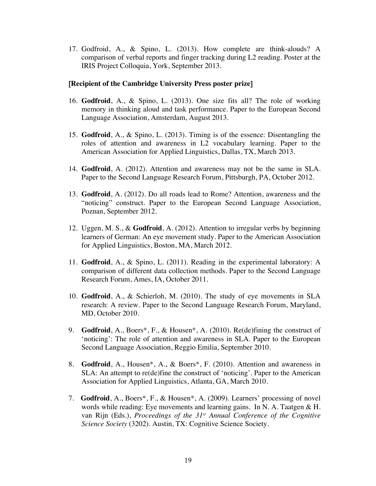17. Godfroid, A., & Spino, L. (2013). How complete are think-alouds? A comparison of verbal reports and finger tracking during L2 reading. Poster at the IRIS Project Colloquia, York, September 2013.

### [**Recipient of the Cambridge University Press poster prize**]

- 16. **Godfroid**, A., & Spino, L. (2013). One size fits all? The role of working memory in thinking aloud and task performance. Paper to the European Second Language Association, Amsterdam, August 2013.
- 15. **Godfroid**, A., & Spino, L. (2013). Timing is of the essence: Disentangling the roles of attention and awareness in L2 vocabulary learning. Paper to the American Association for Applied Linguistics, Dallas, TX, March 2013.
- 14. **Godfroid**, A. (2012). Attention and awareness may not be the same in SLA. Paper to the Second Language Research Forum, Pittsburgh, PA, October 2012.
- 13. **Godfroid**, A. (2012). Do all roads lead to Rome? Attention, awareness and the "noticing" construct. Paper to the European Second Language Association, Poznan, September 2012.
- 12. Uggen, M. S., & **Godfroid**, A. (2012). Attention to irregular verbs by beginning learners of German: An eye movement study. Paper to the American Association for Applied Linguistics, Boston, MA, March 2012.
- 11. **Godfroid**, A., & Spino, L. (2011). Reading in the experimental laboratory: A comparison of different data collection methods. Paper to the Second Language Research Forum, Ames, IA, October 2011.
- 10. **Godfroid**, A., & Schierloh, M. (2010). The study of eye movements in SLA research: A review. Paper to the Second Language Research Forum, Maryland, MD, October 2010.
- 9. **Godfroid**, A., Boers\*, F., & Housen\*, A. (2010). Re(de)fining the construct of 'noticing': The role of attention and awareness in SLA. Paper to the European Second Language Association, Reggio Emilia, September 2010.
- 8. **Godfroid**, A., Housen\*, A., & Boers\*, F. (2010). Attention and awareness in SLA: An attempt to re(de)fine the construct of 'noticing'. Paper to the American Association for Applied Linguistics, Atlanta, GA, March 2010.
- 7. **Godfroid**, A., Boers\*, F., & Housen\*, A. (2009). Learners' processing of novel words while reading: Eye movements and learning gains. In N. A. Taatgen & H. van Rijn (Eds.), *Proceedings of the 31st Annual Conference of the Cognitive Science Society* (3202). Austin, TX: Cognitive Science Society.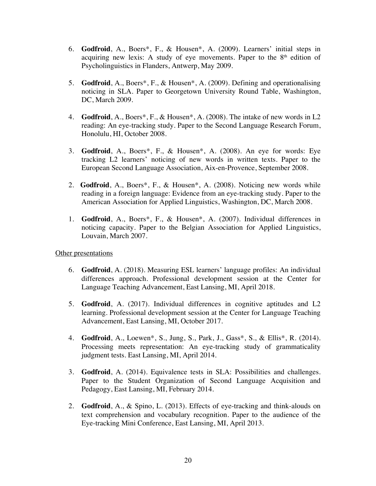- 6. **Godfroid**, A., Boers\*, F., & Housen\*, A. (2009). Learners' initial steps in acquiring new lexis: A study of eye movements. Paper to the  $8<sup>th</sup>$  edition of Psycholinguistics in Flanders, Antwerp, May 2009.
- 5. **Godfroid**, A., Boers\*, F., & Housen\*, A. (2009). Defining and operationalising noticing in SLA. Paper to Georgetown University Round Table, Washington, DC, March 2009.
- 4. **Godfroid**, A., Boers\*, F., & Housen\*, A. (2008). The intake of new words in L2 reading: An eye-tracking study. Paper to the Second Language Research Forum, Honolulu, HI, October 2008.
- 3. **Godfroid**, A., Boers\*, F., & Housen\*, A. (2008). An eye for words: Eye tracking L2 learners' noticing of new words in written texts. Paper to the European Second Language Association, Aix-en-Provence, September 2008.
- 2. **Godfroid**, A., Boers\*, F., & Housen\*, A. (2008). Noticing new words while reading in a foreign language: Evidence from an eye-tracking study. Paper to the American Association for Applied Linguistics, Washington, DC, March 2008.
- 1. **Godfroid**, A., Boers\*, F., & Housen\*, A. (2007). Individual differences in noticing capacity. Paper to the Belgian Association for Applied Linguistics, Louvain, March 2007.

#### Other presentations

- 6. **Godfroid**, A. (2018). Measuring ESL learners' language profiles: An individual differences approach. Professional development session at the Center for Language Teaching Advancement, East Lansing, MI, April 2018.
- 5. **Godfroid**, A. (2017). Individual differences in cognitive aptitudes and L2 learning. Professional development session at the Center for Language Teaching Advancement, East Lansing, MI, October 2017.
- 4. **Godfroid**, A., Loewen\*, S., Jung, S., Park, J., Gass\*, S., & Ellis\*, R. (2014). Processing meets representation: An eye-tracking study of grammaticality judgment tests. East Lansing, MI, April 2014.
- 3. **Godfroid**, A. (2014). Equivalence tests in SLA: Possibilities and challenges. Paper to the Student Organization of Second Language Acquisition and Pedagogy, East Lansing, MI, February 2014.
- 2. **Godfroid**, A., & Spino, L. (2013). Effects of eye-tracking and think-alouds on text comprehension and vocabulary recognition. Paper to the audience of the Eye-tracking Mini Conference, East Lansing, MI, April 2013.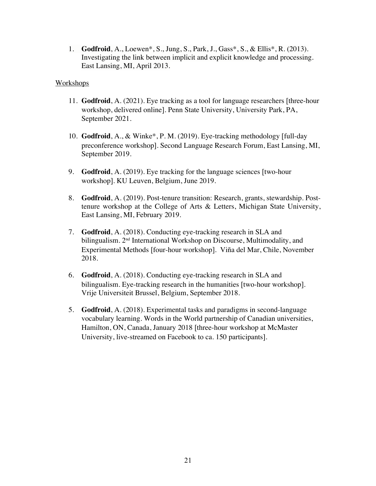1. **Godfroid**, A., Loewen\*, S., Jung, S., Park, J., Gass\*, S., & Ellis\*, R. (2013). Investigating the link between implicit and explicit knowledge and processing. East Lansing, MI, April 2013.

#### **Workshops**

- 11. **Godfroid**, A. (2021). Eye tracking as a tool for language researchers [three-hour workshop, delivered online]. Penn State University, University Park, PA, September 2021.
- 10. **Godfroid**, A., & Winke\*, P. M. (2019). Eye-tracking methodology [full-day preconference workshop]. Second Language Research Forum, East Lansing, MI, September 2019.
- 9. **Godfroid**, A. (2019). Eye tracking for the language sciences [two-hour workshop]. KU Leuven, Belgium, June 2019.
- 8. **Godfroid**, A. (2019). Post-tenure transition: Research, grants, stewardship. Posttenure workshop at the College of Arts & Letters, Michigan State University, East Lansing, MI, February 2019.
- 7. **Godfroid**, A. (2018). Conducting eye-tracking research in SLA and bilingualism. 2nd International Workshop on Discourse, Multimodality, and Experimental Methods [four-hour workshop]. Viña del Mar, Chile, November 2018.
- 6. **Godfroid**, A. (2018). Conducting eye-tracking research in SLA and bilingualism. Eye-tracking research in the humanities [two-hour workshop]. Vrije Universiteit Brussel, Belgium, September 2018.
- 5. **Godfroid**, A. (2018). Experimental tasks and paradigms in second-language vocabulary learning. Words in the World partnership of Canadian universities, Hamilton, ON, Canada, January 2018 [three-hour workshop at McMaster University, live-streamed on Facebook to ca. 150 participants].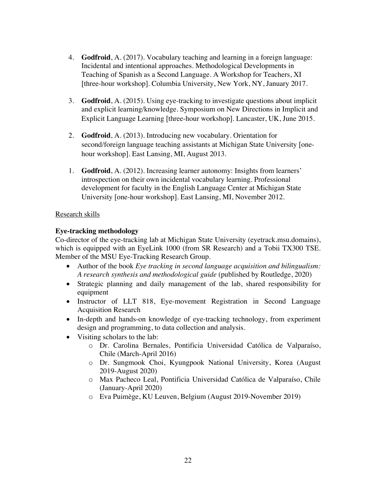- 4. **Godfroid**, A. (2017). Vocabulary teaching and learning in a foreign language: Incidental and intentional approaches. Methodological Developments in Teaching of Spanish as a Second Language. A Workshop for Teachers, XI [three-hour workshop]. Columbia University, New York, NY, January 2017.
- 3. **Godfroid**, A. (2015). Using eye-tracking to investigate questions about implicit and explicit learning/knowledge. Symposium on New Directions in Implicit and Explicit Language Learning [three-hour workshop]. Lancaster, UK, June 2015.
- 2. **Godfroid**, A. (2013). Introducing new vocabulary. Orientation for second/foreign language teaching assistants at Michigan State University [onehour workshop]. East Lansing, MI, August 2013.
- 1. **Godfroid**, A. (2012). Increasing learner autonomy: Insights from learners' introspection on their own incidental vocabulary learning. Professional development for faculty in the English Language Center at Michigan State University [one-hour workshop]. East Lansing, MI, November 2012.

## Research skills

## **Eye-tracking methodology**

Co-director of the eye-tracking lab at Michigan State University (eyetrack.msu.domains), which is equipped with an EyeLink 1000 (from SR Research) and a Tobii TX300 TSE. Member of the MSU Eye-Tracking Research Group.

- Author of the book *Eye tracking in second language acquisition and bilingualism: A research synthesis and methodological guide* (published by Routledge, 2020)
- Strategic planning and daily management of the lab, shared responsibility for equipment
- Instructor of LLT 818, Eye-movement Registration in Second Language Acquisition Research
- In-depth and hands-on knowledge of eye-tracking technology, from experiment design and programming, to data collection and analysis*.*
- Visiting scholars to the lab:
	- o Dr. Carolina Bernales, Pontificia Universidad Católica de Valparaíso, Chile (March-April 2016)
	- o Dr. Sungmook Choi, Kyungpook National University, Korea (August 2019-August 2020)
	- o Max Pacheco Leal, Pontificia Universidad Católica de Valparaíso, Chile (January-April 2020)
	- o Eva Puimège, KU Leuven, Belgium (August 2019-November 2019)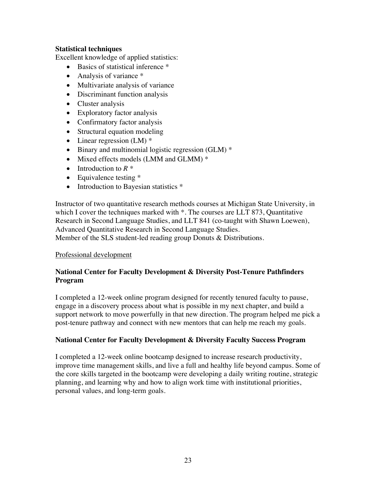### **Statistical techniques**

Excellent knowledge of applied statistics:

- Basics of statistical inference  $*$
- Analysis of variance  $*$
- Multivariate analysis of variance
- Discriminant function analysis
- Cluster analysis
- Exploratory factor analysis
- Confirmatory factor analysis
- Structural equation modeling
- Linear regression (LM)  $*$
- Binary and multinomial logistic regression (GLM)  $*$
- Mixed effects models (LMM and GLMM)  $*$
- Introduction to *R \**
- Equivalence testing \*
- Introduction to Bayesian statistics  $*$

Instructor of two quantitative research methods courses at Michigan State University, in which I cover the techniques marked with  $*$ . The courses are LLT 873, Quantitative Research in Second Language Studies, and LLT 841 (co-taught with Shawn Loewen), Advanced Quantitative Research in Second Language Studies.

Member of the SLS student-led reading group Donuts & Distributions.

## Professional development

## **National Center for Faculty Development & Diversity Post-Tenure Pathfinders Program**

I completed a 12-week online program designed for recently tenured faculty to pause, engage in a discovery process about what is possible in my next chapter, and build a support network to move powerfully in that new direction. The program helped me pick a post-tenure pathway and connect with new mentors that can help me reach my goals.

## **National Center for Faculty Development & Diversity Faculty Success Program**

I completed a 12-week online bootcamp designed to increase research productivity, improve time management skills, and live a full and healthy life beyond campus. Some of the core skills targeted in the bootcamp were developing a daily writing routine, strategic planning, and learning why and how to align work time with institutional priorities, personal values, and long-term goals.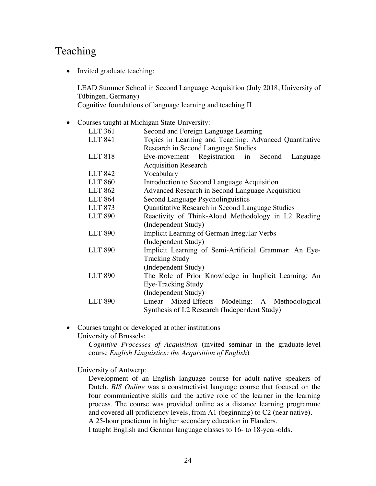# Teaching

• Invited graduate teaching:

LEAD Summer School in Second Language Acquisition (July 2018, University of Tübingen, Germany)

Cognitive foundations of language learning and teaching II

• Courses taught at Michigan State University:

| LLT 361        | Second and Foreign Language Learning                   |
|----------------|--------------------------------------------------------|
| <b>LLT 841</b> | Topics in Learning and Teaching: Advanced Quantitative |
|                | Research in Second Language Studies                    |
| <b>LLT 818</b> | Eye-movement Registration in Second Language           |
|                | <b>Acquisition Research</b>                            |
| <b>LLT 842</b> | Vocabulary                                             |
| <b>LLT 860</b> | Introduction to Second Language Acquisition            |
| <b>LLT 862</b> | Advanced Research in Second Language Acquisition       |
| <b>LLT 864</b> | Second Language Psycholinguistics                      |
| <b>LLT 873</b> | Quantitative Research in Second Language Studies       |
| <b>LLT 890</b> | Reactivity of Think-Aloud Methodology in L2 Reading    |
|                | (Independent Study)                                    |
| <b>LLT 890</b> | Implicit Learning of German Irregular Verbs            |
|                | (Independent Study)                                    |
| <b>LLT 890</b> | Implicit Learning of Semi-Artificial Grammar: An Eye-  |
|                | <b>Tracking Study</b>                                  |
|                | (Independent Study)                                    |
| <b>LLT 890</b> | The Role of Prior Knowledge in Implicit Learning: An   |
|                | Eye-Tracking Study                                     |
|                | (Independent Study)                                    |
| <b>LLT 890</b> | Linear Mixed-Effects Modeling: A Methodological        |
|                | Synthesis of L2 Research (Independent Study)           |

• Courses taught or developed at other institutions

University of Brussels:

*Cognitive Processes of Acquisition* (invited seminar in the graduate-level course *English Linguistics: the Acquisition of English*)

University of Antwerp:

Development of an English language course for adult native speakers of Dutch. *BIS Online* was a constructivist language course that focused on the four communicative skills and the active role of the learner in the learning process. The course was provided online as a distance learning programme and covered all proficiency levels, from A1 (beginning) to C2 (near native). A 25-hour practicum in higher secondary education in Flanders.

I taught English and German language classes to 16- to 18-year-olds.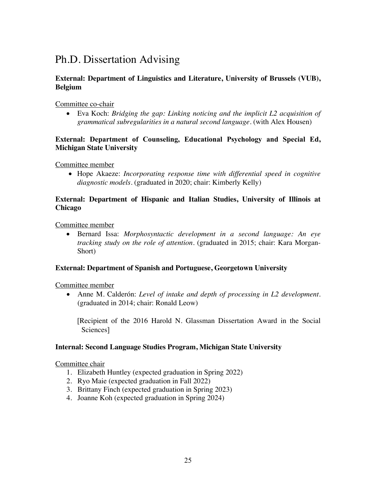# Ph.D. Dissertation Advising

## **External: Department of Linguistics and Literature, University of Brussels (VUB), Belgium**

Committee co-chair

• Eva Koch: *Bridging the gap: Linking noticing and the implicit L2 acquisition of grammatical subregularities in a natural second language.* (with Alex Housen)

## **External: Department of Counseling, Educational Psychology and Special Ed, Michigan State University**

Committee member

• Hope Akaeze: *Incorporating response time with differential speed in cognitive diagnostic models.* (graduated in 2020; chair: Kimberly Kelly)

## **External: Department of Hispanic and Italian Studies, University of Illinois at Chicago**

Committee member

• Bernard Issa: *Morphosyntactic development in a second language: An eye tracking study on the role of attention.* (graduated in 2015; chair: Kara Morgan-Short)

## **External: Department of Spanish and Portuguese, Georgetown University**

Committee member

• Anne M. Calderón: *Level of intake and depth of processing in L2 development.* (graduated in 2014; chair: Ronald Leow)

[Recipient of the 2016 Harold N. Glassman Dissertation Award in the Social Sciences]

## **Internal: Second Language Studies Program, Michigan State University**

Committee chair

- 1. Elizabeth Huntley (expected graduation in Spring 2022)
- 2. Ryo Maie (expected graduation in Fall 2022)
- 3. Brittany Finch (expected graduation in Spring 2023)
- 4. Joanne Koh (expected graduation in Spring 2024)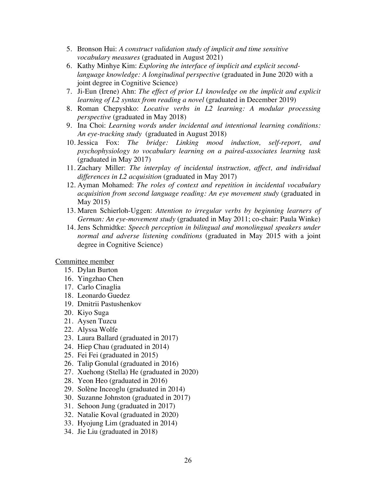- 5. Bronson Hui: *A construct validation study of implicit and time sensitive vocabulary measures* (graduated in August 2021)
- 6. Kathy Minhye Kim: *Exploring the interface of implicit and explicit secondlanguage knowledge: A longitudinal perspective* (graduated in June 2020 with a joint degree in Cognitive Science)
- 7. Ji-Eun (Irene) Ahn: *The effect of prior L1 knowledge on the implicit and explicit learning of L2 syntax from reading a novel* (graduated in December 2019)
- 8. Roman Chepyshko: *Locative verbs in L2 learning: A modular processing perspective* (graduated in May 2018)
- 9. Ina Choi: *Learning words under incidental and intentional learning conditions: An eye-tracking study* (graduated in August 2018)
- 10. Jessica Fox: *The bridge: Linking mood induction, self-report, and psychophysiology to vocabulary learning on a paired-associates learning task* (graduated in May 2017)
- 11. Zachary Miller: *The interplay of incidental instruction, affect, and individual differences in L2 acquisition* (graduated in May 2017)
- 12. Ayman Mohamed: *The roles of context and repetition in incidental vocabulary acquisition from second language reading: An eye movement study* (graduated in May 2015)
- 13. Maren Schierloh-Uggen: *Attention to irregular verbs by beginning learners of German: An eye-movement study* (graduated in May 2011; co-chair: Paula Winke)
- 14. Jens Schmidtke: *Speech perception in bilingual and monolingual speakers under normal and adverse listening conditions* (graduated in May 2015 with a joint degree in Cognitive Science)

Committee member

- 15. Dylan Burton
- 16. Yingzhao Chen
- 17. Carlo Cinaglia
- 18. Leonardo Guedez
- 19. Dmitrii Pastushenkov
- 20. Kiyo Suga
- 21. Aysen Tuzcu
- 22. Alyssa Wolfe
- 23. Laura Ballard (graduated in 2017)
- 24. Hiep Chau (graduated in 2014)
- 25. Fei Fei (graduated in 2015)
- 26. Talip Gonulal (graduated in 2016)
- 27. Xuehong (Stella) He (graduated in 2020)
- 28. Yeon Heo (graduated in 2016)
- 29. Solène Inceoglu (graduated in 2014)
- 30. Suzanne Johnston (graduated in 2017)
- 31. Sehoon Jung (graduated in 2017)
- 32. Natalie Koval (graduated in 2020)
- 33. Hyojung Lim (graduated in 2014)
- 34. Jie Liu (graduated in 2018)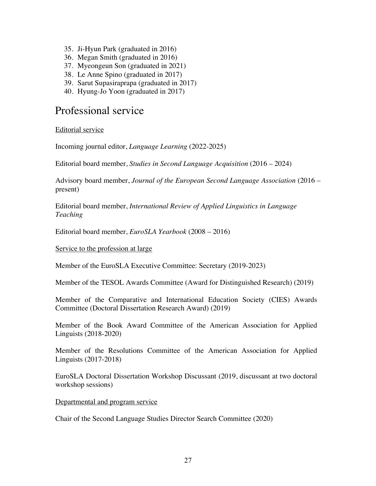- 35. Ji-Hyun Park (graduated in 2016)
- 36. Megan Smith (graduated in 2016)
- 37. Myeongeun Son (graduated in 2021)
- 38. Le Anne Spino (graduated in 2017)
- 39. Sarut Supasiraprapa (graduated in 2017)
- 40. Hyung-Jo Yoon (graduated in 2017)

## Professional service

Editorial service

Incoming journal editor, *Language Learning* (2022-2025)

Editorial board member, *Studies in Second Language Acquisition* (2016 – 2024)

Advisory board member, *Journal of the European Second Language Association* (2016 – present)

Editorial board member, *International Review of Applied Linguistics in Language Teaching*

Editorial board member, *EuroSLA Yearbook* (2008 – 2016)

#### Service to the profession at large

Member of the EuroSLA Executive Committee: Secretary (2019-2023)

Member of the TESOL Awards Committee (Award for Distinguished Research) (2019)

Member of the Comparative and International Education Society (CIES) Awards Committee (Doctoral Dissertation Research Award) (2019)

Member of the Book Award Committee of the American Association for Applied Linguists (2018-2020)

Member of the Resolutions Committee of the American Association for Applied Linguists (2017-2018)

EuroSLA Doctoral Dissertation Workshop Discussant (2019, discussant at two doctoral workshop sessions)

Departmental and program service

Chair of the Second Language Studies Director Search Committee (2020)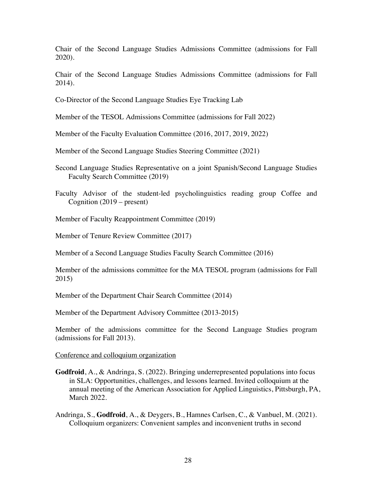Chair of the Second Language Studies Admissions Committee (admissions for Fall 2020).

Chair of the Second Language Studies Admissions Committee (admissions for Fall 2014).

Co-Director of the Second Language Studies Eye Tracking Lab

Member of the TESOL Admissions Committee (admissions for Fall 2022)

Member of the Faculty Evaluation Committee (2016, 2017, 2019, 2022)

Member of the Second Language Studies Steering Committee (2021)

- Second Language Studies Representative on a joint Spanish/Second Language Studies Faculty Search Committee (2019)
- Faculty Advisor of the student-led psycholinguistics reading group Coffee and Cognition (2019 – present)
- Member of Faculty Reappointment Committee (2019)

Member of Tenure Review Committee (2017)

Member of a Second Language Studies Faculty Search Committee (2016)

Member of the admissions committee for the MA TESOL program (admissions for Fall 2015)

Member of the Department Chair Search Committee (2014)

Member of the Department Advisory Committee (2013-2015)

Member of the admissions committee for the Second Language Studies program (admissions for Fall 2013).

Conference and colloquium organization

- **Godfroid**, A., & Andringa, S. (2022). Bringing underrepresented populations into focus in SLA: Opportunities, challenges, and lessons learned. Invited colloquium at the annual meeting of the American Association for Applied Linguistics, Pittsburgh, PA, March 2022.
- Andringa, S., **Godfroid**, A., & Deygers, B., Hamnes Carlsen, C., & Vanbuel, M. (2021). Colloquium organizers: Convenient samples and inconvenient truths in second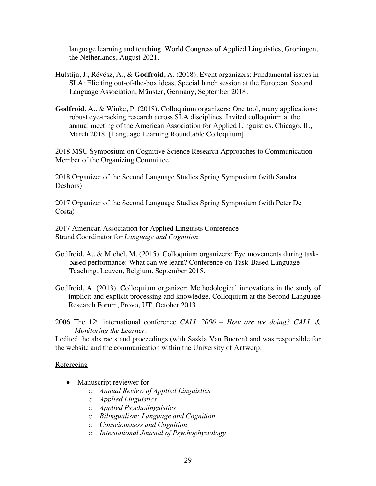language learning and teaching. World Congress of Applied Linguistics, Groningen, the Netherlands, August 2021.

- Hulstijn, J., Révész, A., & **Godfroid**, A. (2018). Event organizers: Fundamental issues in SLA: Eliciting out-of-the-box ideas. Special lunch session at the European Second Language Association, Münster, Germany, September 2018.
- **Godfroid**, A., & Winke, P. (2018). Colloquium organizers: One tool, many applications: robust eye-tracking research across SLA disciplines. Invited colloquium at the annual meeting of the American Association for Applied Linguistics, Chicago, IL, March 2018. [Language Learning Roundtable Colloquium]

2018 MSU Symposium on Cognitive Science Research Approaches to Communication Member of the Organizing Committee

2018 Organizer of the Second Language Studies Spring Symposium (with Sandra Deshors)

2017 Organizer of the Second Language Studies Spring Symposium (with Peter De Costa)

2017 American Association for Applied Linguists Conference Strand Coordinator for *Language and Cognition*

- Godfroid, A., & Michel, M. (2015). Colloquium organizers: Eye movements during taskbased performance: What can we learn? Conference on Task-Based Language Teaching, Leuven, Belgium, September 2015.
- Godfroid, A. (2013). Colloquium organizer: Methodological innovations in the study of implicit and explicit processing and knowledge. Colloquium at the Second Language Research Forum, Provo, UT, October 2013.
- 2006 The 12th international conference *CALL 2006 – How are we doing? CALL & Monitoring the Learner.*

I edited the abstracts and proceedings (with Saskia Van Bueren) and was responsible for the website and the communication within the University of Antwerp.

#### **Refereeing**

- Manuscript reviewer for
	- o *Annual Review of Applied Linguistics*
	- o *Applied Linguistics*
	- o *Applied Psycholinguistics*
	- o *Bilingualism: Language and Cognition*
	- o *Consciousness and Cognition*
	- o *International Journal of Psychophysiology*